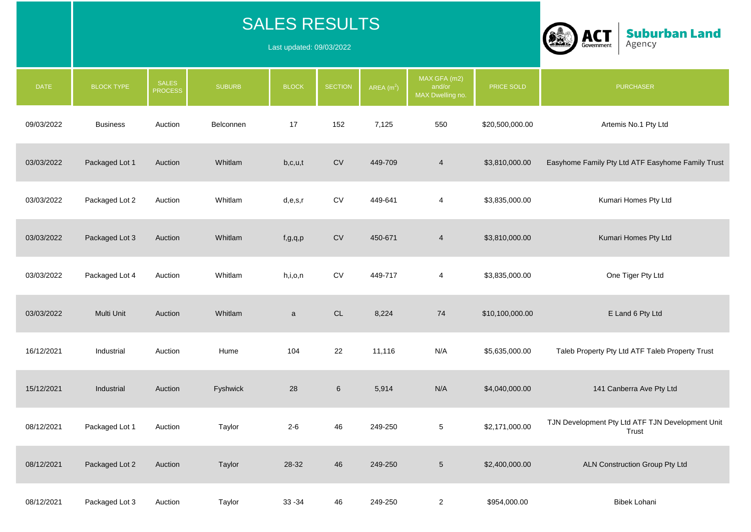|             |                   |                                | <b>SALES RESULTS</b><br>Last updated: 09/03/2022 |              | <b>Suburban Land</b><br><b>ACT</b><br>Agency<br>Government |             |                                            |                 |                                                           |
|-------------|-------------------|--------------------------------|--------------------------------------------------|--------------|------------------------------------------------------------|-------------|--------------------------------------------|-----------------|-----------------------------------------------------------|
| <b>DATE</b> | <b>BLOCK TYPE</b> | <b>SALES</b><br><b>PROCESS</b> | <b>SUBURB</b>                                    | <b>BLOCK</b> | <b>SECTION</b>                                             | $AREA(m^2)$ | MAX GFA (m2)<br>and/or<br>MAX Dwelling no. | PRICE SOLD      | <b>PURCHASER</b>                                          |
| 09/03/2022  | <b>Business</b>   | Auction                        | Belconnen                                        | 17           | 152                                                        | 7,125       | 550                                        | \$20,500,000.00 | Artemis No.1 Pty Ltd                                      |
| 03/03/2022  | Packaged Lot 1    | Auction                        | Whitlam                                          | b,c,u,t      | <b>CV</b>                                                  | 449-709     | 4                                          | \$3,810,000.00  | Easyhome Family Pty Ltd ATF Easyhome Family Trust         |
| 03/03/2022  | Packaged Lot 2    | Auction                        | Whitlam                                          | d,e,s,r      | <b>CV</b>                                                  | 449-641     | 4                                          | \$3,835,000.00  | Kumari Homes Pty Ltd                                      |
| 03/03/2022  | Packaged Lot 3    | Auction                        | Whitlam                                          | f, g, q, p   | <b>CV</b>                                                  | 450-671     | $\overline{4}$                             | \$3,810,000.00  | Kumari Homes Pty Ltd                                      |
| 03/03/2022  | Packaged Lot 4    | Auction                        | Whitlam                                          | h,i,o,n      | <b>CV</b>                                                  | 449-717     | 4                                          | \$3,835,000.00  | One Tiger Pty Ltd                                         |
| 03/03/2022  | Multi Unit        | Auction                        | Whitlam                                          | $\mathsf{a}$ | $\mathsf{CL}$                                              | 8,224       | 74                                         | \$10,100,000.00 | E Land 6 Pty Ltd                                          |
| 16/12/2021  | Industrial        | Auction                        | Hume                                             | 104          | 22                                                         | 11,116      | N/A                                        | \$5,635,000.00  | Taleb Property Pty Ltd ATF Taleb Property Trust           |
| 15/12/2021  | Industrial        | Auction                        | Fyshwick                                         | 28           | $6\phantom{1}$                                             | 5,914       | N/A                                        | \$4,040,000.00  | 141 Canberra Ave Pty Ltd                                  |
| 08/12/2021  | Packaged Lot 1    | Auction                        | Taylor                                           | $2 - 6$      | 46                                                         | 249-250     | $\overline{5}$                             | \$2,171,000.00  | TJN Development Pty Ltd ATF TJN Development Unit<br>Trust |
| 08/12/2021  | Packaged Lot 2    | Auction                        | Taylor                                           | $28-32$      | 46                                                         | 249-250     | $\sqrt{5}$                                 | \$2,400,000.00  | ALN Construction Group Pty Ltd                            |
| 08/12/2021  | Packaged Lot 3    | Auction                        | Taylor                                           | $33 - 34$    | 46                                                         | 249-250     | $\overline{2}$                             | \$954,000.00    | Bibek Lohani                                              |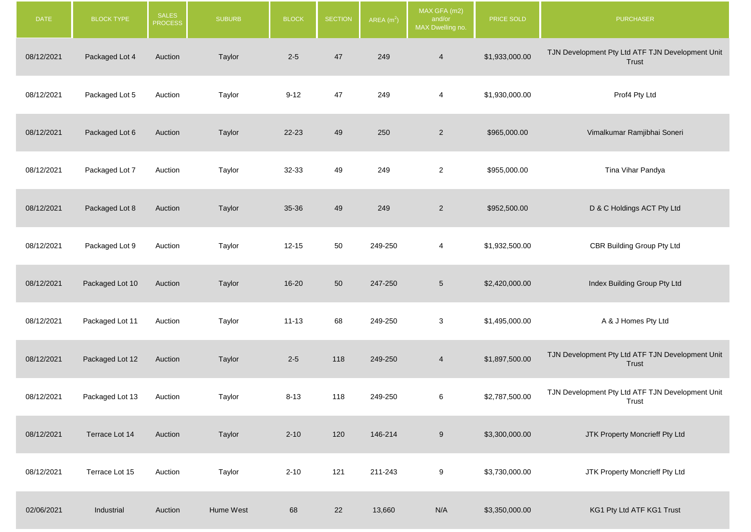| <b>DATE</b> | <b>BLOCK TYPE</b> | <b>SALES</b><br><b>PROCESS</b> | <b>SUBURB</b> | <b>BLOCK</b> | <b>SECTION</b> | AREA $(m2)$ | MAX GFA (m2)<br>and/or<br>MAX Dwelling no. | PRICE SOLD     | PURCHASER                                                 |
|-------------|-------------------|--------------------------------|---------------|--------------|----------------|-------------|--------------------------------------------|----------------|-----------------------------------------------------------|
| 08/12/2021  | Packaged Lot 4    | Auction                        | Taylor        | $2 - 5$      | 47             | 249         | $\overline{4}$                             | \$1,933,000.00 | TJN Development Pty Ltd ATF TJN Development Unit<br>Trust |
| 08/12/2021  | Packaged Lot 5    | Auction                        | Taylor        | $9 - 12$     | 47             | 249         | 4                                          | \$1,930,000.00 | Prof4 Pty Ltd                                             |
| 08/12/2021  | Packaged Lot 6    | Auction                        | Taylor        | $22 - 23$    | 49             | 250         | $\sqrt{2}$                                 | \$965,000.00   | Vimalkumar Ramjibhai Soneri                               |
| 08/12/2021  | Packaged Lot 7    | Auction                        | Taylor        | 32-33        | 49             | 249         | $\overline{c}$                             | \$955,000.00   | Tina Vihar Pandya                                         |
| 08/12/2021  | Packaged Lot 8    | Auction                        | Taylor        | 35-36        | 49             | 249         | $\overline{2}$                             | \$952,500.00   | D & C Holdings ACT Pty Ltd                                |
| 08/12/2021  | Packaged Lot 9    | Auction                        | Taylor        | $12 - 15$    | 50             | 249-250     | 4                                          | \$1,932,500.00 | CBR Building Group Pty Ltd                                |
| 08/12/2021  | Packaged Lot 10   | Auction                        | Taylor        | $16 - 20$    | 50             | 247-250     | $\,$ 5 $\,$                                | \$2,420,000.00 | Index Building Group Pty Ltd                              |
| 08/12/2021  | Packaged Lot 11   | Auction                        | Taylor        | $11 - 13$    | 68             | 249-250     | 3                                          | \$1,495,000.00 | A & J Homes Pty Ltd                                       |
| 08/12/2021  | Packaged Lot 12   | Auction                        | Taylor        | $2 - 5$      | 118            | 249-250     | $\overline{4}$                             | \$1,897,500.00 | TJN Development Pty Ltd ATF TJN Development Unit<br>Trust |
| 08/12/2021  | Packaged Lot 13   | Auction                        | Taylor        | $8 - 13$     | 118            | 249-250     | 6                                          | \$2,787,500.00 | TJN Development Pty Ltd ATF TJN Development Unit<br>Trust |
| 08/12/2021  | Terrace Lot 14    | Auction                        | Taylor        | $2 - 10$     | 120            | 146-214     | $\boldsymbol{9}$                           | \$3,300,000.00 | JTK Property Moncrieff Pty Ltd                            |
| 08/12/2021  | Terrace Lot 15    | Auction                        | Taylor        | $2 - 10$     | 121            | 211-243     | 9                                          | \$3,730,000.00 | JTK Property Moncrieff Pty Ltd                            |
| 02/06/2021  | Industrial        | Auction                        | Hume West     | 68           | 22             | 13,660      | N/A                                        | \$3,350,000.00 | KG1 Pty Ltd ATF KG1 Trust                                 |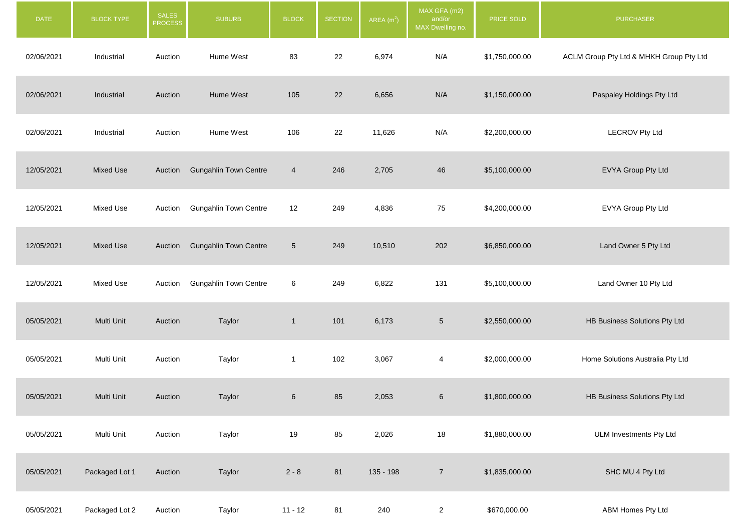| DATE       | <b>BLOCK TYPE</b> | <b>SALES</b><br><b>PROCESS</b> | <b>SUBURB</b>                | <b>BLOCK</b>    | <b>SECTION</b> | AREA $(m2)$ | MAX GFA (m2)<br>and/or<br>MAX Dwelling no. | PRICE SOLD     | <b>PURCHASER</b>                        |
|------------|-------------------|--------------------------------|------------------------------|-----------------|----------------|-------------|--------------------------------------------|----------------|-----------------------------------------|
| 02/06/2021 | Industrial        | Auction                        | Hume West                    | 83              | 22             | 6,974       | N/A                                        | \$1,750,000.00 | ACLM Group Pty Ltd & MHKH Group Pty Ltd |
| 02/06/2021 | Industrial        | Auction                        | Hume West                    | 105             | 22             | 6,656       | N/A                                        | \$1,150,000.00 | Paspaley Holdings Pty Ltd               |
| 02/06/2021 | Industrial        | Auction                        | Hume West                    | 106             | 22             | 11,626      | N/A                                        | \$2,200,000.00 | <b>LECROV Pty Ltd</b>                   |
| 12/05/2021 | <b>Mixed Use</b>  | Auction                        | <b>Gungahlin Town Centre</b> | $\overline{4}$  | 246            | 2,705       | 46                                         | \$5,100,000.00 | EVYA Group Pty Ltd                      |
| 12/05/2021 | Mixed Use         | Auction                        | <b>Gungahlin Town Centre</b> | 12              | 249            | 4,836       | 75                                         | \$4,200,000.00 | EVYA Group Pty Ltd                      |
| 12/05/2021 | <b>Mixed Use</b>  | Auction                        | <b>Gungahlin Town Centre</b> | $5\phantom{.0}$ | 249            | 10,510      | 202                                        | \$6,850,000.00 | Land Owner 5 Pty Ltd                    |
| 12/05/2021 | Mixed Use         | Auction                        | <b>Gungahlin Town Centre</b> | $6\phantom{.}6$ | 249            | 6,822       | 131                                        | \$5,100,000.00 | Land Owner 10 Pty Ltd                   |
| 05/05/2021 | Multi Unit        | Auction                        | Taylor                       | $\mathbf{1}$    | 101            | 6,173       | $\sqrt{5}$                                 | \$2,550,000.00 | HB Business Solutions Pty Ltd           |
| 05/05/2021 | Multi Unit        | Auction                        | Taylor                       | $\mathbf{1}$    | 102            | 3,067       | $\overline{4}$                             | \$2,000,000.00 | Home Solutions Australia Pty Ltd        |
| 05/05/2021 | Multi Unit        | Auction                        | Taylor                       | 6               | 85             | 2,053       | 6                                          | \$1,800,000.00 | HB Business Solutions Pty Ltd           |
| 05/05/2021 | Multi Unit        | Auction                        | Taylor                       | 19              | 85             | 2,026       | 18                                         | \$1,880,000.00 | <b>ULM Investments Pty Ltd</b>          |
| 05/05/2021 | Packaged Lot 1    | Auction                        | Taylor                       | $2 - 8$         | 81             | 135 - 198   | $\overline{7}$                             | \$1,835,000.00 | SHC MU 4 Pty Ltd                        |
| 05/05/2021 | Packaged Lot 2    | Auction                        | Taylor                       | $11 - 12$       | 81             | 240         | $\overline{2}$                             | \$670,000.00   | ABM Homes Pty Ltd                       |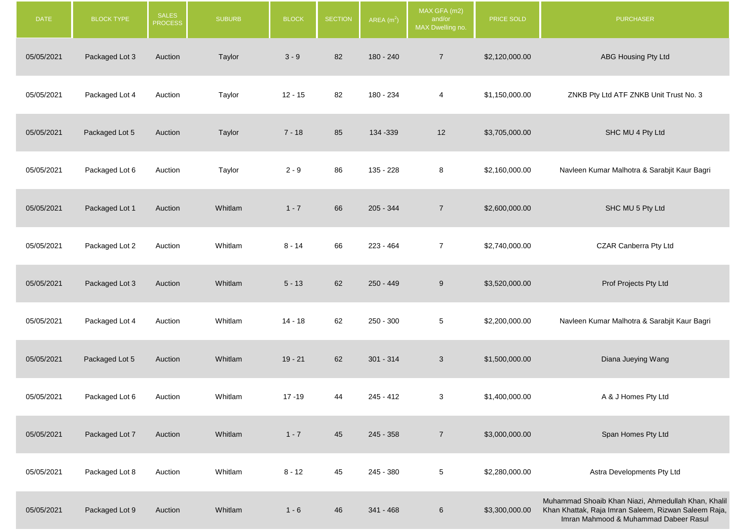| <b>DATE</b> | <b>BLOCK TYPE</b> | <b>SALES</b><br><b>PROCESS</b> | <b>SUBURB</b> | <b>BLOCK</b> | <b>SECTION</b> | AREA $(m2)$ | MAX GFA (m2)<br>and/or<br>MAX Dwelling no. | PRICE SOLD     | <b>PURCHASER</b>                                                                                                                                     |
|-------------|-------------------|--------------------------------|---------------|--------------|----------------|-------------|--------------------------------------------|----------------|------------------------------------------------------------------------------------------------------------------------------------------------------|
| 05/05/2021  | Packaged Lot 3    | Auction                        | Taylor        | $3 - 9$      | 82             | 180 - 240   | $\overline{7}$                             | \$2,120,000.00 | ABG Housing Pty Ltd                                                                                                                                  |
| 05/05/2021  | Packaged Lot 4    | Auction                        | Taylor        | $12 - 15$    | 82             | 180 - 234   | $\overline{4}$                             | \$1,150,000.00 | ZNKB Pty Ltd ATF ZNKB Unit Trust No. 3                                                                                                               |
| 05/05/2021  | Packaged Lot 5    | Auction                        | Taylor        | $7 - 18$     | 85             | 134 - 339   | 12                                         | \$3,705,000.00 | SHC MU 4 Pty Ltd                                                                                                                                     |
| 05/05/2021  | Packaged Lot 6    | Auction                        | Taylor        | $2 - 9$      | 86             | 135 - 228   | 8                                          | \$2,160,000.00 | Navleen Kumar Malhotra & Sarabjit Kaur Bagri                                                                                                         |
| 05/05/2021  | Packaged Lot 1    | Auction                        | Whitlam       | $1 - 7$      | 66             | $205 - 344$ | $\overline{7}$                             | \$2,600,000.00 | SHC MU 5 Pty Ltd                                                                                                                                     |
| 05/05/2021  | Packaged Lot 2    | Auction                        | Whitlam       | $8 - 14$     | 66             | $223 - 464$ | $\overline{7}$                             | \$2,740,000.00 | CZAR Canberra Pty Ltd                                                                                                                                |
| 05/05/2021  | Packaged Lot 3    | Auction                        | Whitlam       | $5 - 13$     | 62             | 250 - 449   | 9                                          | \$3,520,000.00 | Prof Projects Pty Ltd                                                                                                                                |
| 05/05/2021  | Packaged Lot 4    | Auction                        | Whitlam       | $14 - 18$    | 62             | 250 - 300   | $5\phantom{.0}$                            | \$2,200,000.00 | Navleen Kumar Malhotra & Sarabjit Kaur Bagri                                                                                                         |
| 05/05/2021  | Packaged Lot 5    | Auction                        | Whitlam       | $19 - 21$    | 62             | $301 - 314$ | 3                                          | \$1,500,000.00 | Diana Jueying Wang                                                                                                                                   |
| 05/05/2021  | Packaged Lot 6    | Auction                        | Whitlam       | $17 - 19$    | 44             | $245 - 412$ | 3                                          | \$1,400,000.00 | A & J Homes Pty Ltd                                                                                                                                  |
| 05/05/2021  | Packaged Lot 7    | Auction                        | Whitlam       | $1 - 7$      | 45             | $245 - 358$ | $\overline{7}$                             | \$3,000,000.00 | Span Homes Pty Ltd                                                                                                                                   |
| 05/05/2021  | Packaged Lot 8    | Auction                        | Whitlam       | $8 - 12$     | 45             | 245 - 380   | $5\phantom{.0}$                            | \$2,280,000.00 | Astra Developments Pty Ltd                                                                                                                           |
| 05/05/2021  | Packaged Lot 9    | Auction                        | Whitlam       | $1 - 6$      | 46             | $341 - 468$ | $\,6$                                      | \$3,300,000.00 | Muhammad Shoaib Khan Niazi, Ahmedullah Khan, Khalil<br>Khan Khattak, Raja Imran Saleem, Rizwan Saleem Raja,<br>Imran Mahmood & Muhammad Dabeer Rasul |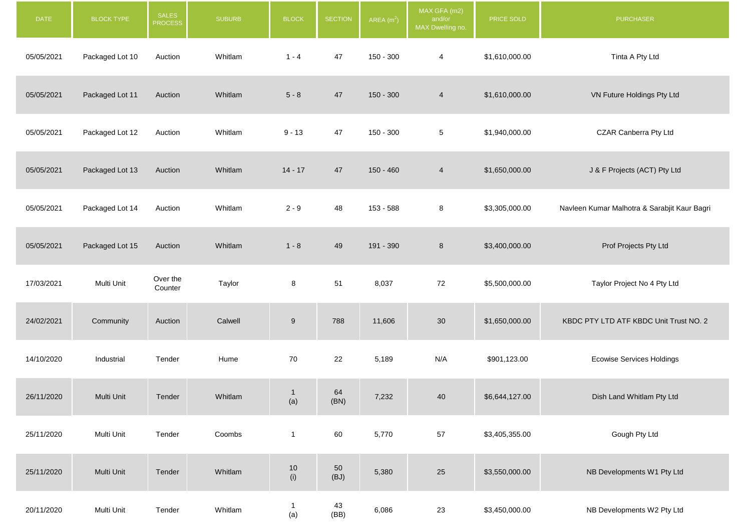| <b>DATE</b> | <b>BLOCK TYPE</b> | <b>SALES</b><br><b>PROCESS</b> | <b>SUBURB</b> | <b>BLOCK</b> | <b>SECTION</b> | AREA $(m2)$ | MAX GFA (m2)<br>and/or<br>MAX Dwelling no. | PRICE SOLD     | <b>PURCHASER</b>                             |
|-------------|-------------------|--------------------------------|---------------|--------------|----------------|-------------|--------------------------------------------|----------------|----------------------------------------------|
| 05/05/2021  | Packaged Lot 10   | Auction                        | Whitlam       | $1 - 4$      | 47             | 150 - 300   | 4                                          | \$1,610,000.00 | Tinta A Pty Ltd                              |
| 05/05/2021  | Packaged Lot 11   | Auction                        | Whitlam       | $5 - 8$      | 47             | $150 - 300$ | $\overline{4}$                             | \$1,610,000.00 | VN Future Holdings Pty Ltd                   |
| 05/05/2021  | Packaged Lot 12   | Auction                        | Whitlam       | $9 - 13$     | 47             | 150 - 300   | 5                                          | \$1,940,000.00 | CZAR Canberra Pty Ltd                        |
| 05/05/2021  | Packaged Lot 13   | Auction                        | Whitlam       | $14 - 17$    | 47             | 150 - 460   | $\overline{4}$                             | \$1,650,000.00 | J & F Projects (ACT) Pty Ltd                 |
| 05/05/2021  | Packaged Lot 14   | Auction                        | Whitlam       | $2 - 9$      | 48             | 153 - 588   | 8                                          | \$3,305,000.00 | Navleen Kumar Malhotra & Sarabjit Kaur Bagri |
| 05/05/2021  | Packaged Lot 15   | Auction                        | Whitlam       | $1 - 8$      | 49             | 191 - 390   | $\bf 8$                                    | \$3,400,000.00 | Prof Projects Pty Ltd                        |
| 17/03/2021  | Multi Unit        | Over the<br>Counter            | Taylor        | 8            | 51             | 8,037       | 72                                         | \$5,500,000.00 | Taylor Project No 4 Pty Ltd                  |
| 24/02/2021  | Community         | Auction                        | Calwell       | $9\,$        | 788            | 11,606      | 30                                         | \$1,650,000.00 | KBDC PTY LTD ATF KBDC Unit Trust NO. 2       |
| 14/10/2020  | Industrial        | Tender                         | Hume          | 70           | 22             | 5,189       | N/A                                        | \$901,123.00   | <b>Ecowise Services Holdings</b>             |
| 26/11/2020  | Multi Unit        | Tender                         | Whitlam       | (a)          | 64<br>(BN)     | 7,232       | 40                                         | \$6,644,127.00 | Dish Land Whitlam Pty Ltd                    |
| 25/11/2020  | Multi Unit        | Tender                         | Coombs        | $\mathbf{1}$ | 60             | 5,770       | $57\,$                                     | \$3,405,355.00 | Gough Pty Ltd                                |
| 25/11/2020  | Multi Unit        | Tender                         | Whitlam       | $10$<br>(i)  | $50\,$<br>(BJ) | 5,380       | $25\,$                                     | \$3,550,000.00 | NB Developments W1 Pty Ltd                   |
| 20/11/2020  | Multi Unit        | Tender                         | Whitlam       | -1<br>(a)    | $43$<br>(BB)   | 6,086       | 23                                         | \$3,450,000.00 | NB Developments W2 Pty Ltd                   |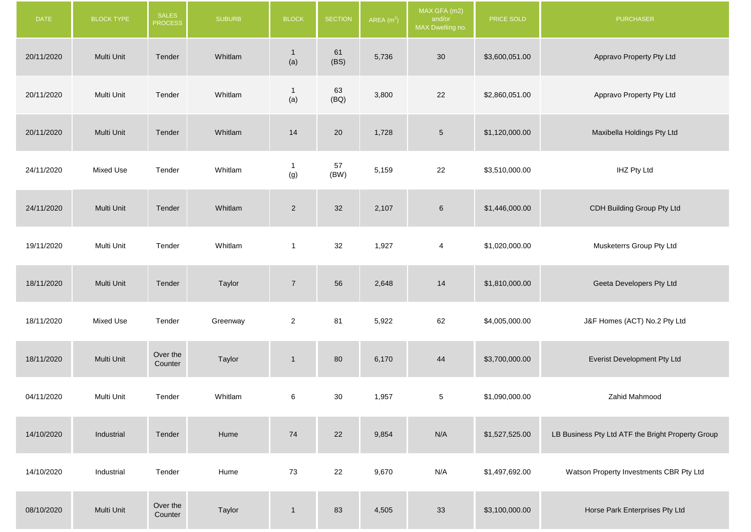| <b>DATE</b> | <b>BLOCK TYPE</b> | SALES<br><b>PROCESS</b> | <b>SUBURB</b> | <b>BLOCK</b>          | <b>SECTION</b> | AREA $(m2)$ | MAX GFA (m2)<br>and/or<br>MAX Dwelling no. | PRICE SOLD     | <b>PURCHASER</b>                                  |
|-------------|-------------------|-------------------------|---------------|-----------------------|----------------|-------------|--------------------------------------------|----------------|---------------------------------------------------|
| 20/11/2020  | Multi Unit        | Tender                  | Whitlam       | $\overline{1}$<br>(a) | 61<br>(BS)     | 5,736       | 30                                         | \$3,600,051.00 | Appravo Property Pty Ltd                          |
| 20/11/2020  | Multi Unit        | Tender                  | Whitlam       | $\mathbf{1}$<br>(a)   | 63<br>(BQ)     | 3,800       | 22                                         | \$2,860,051.00 | Appravo Property Pty Ltd                          |
| 20/11/2020  | Multi Unit        | Tender                  | Whitlam       | 14                    | 20             | 1,728       | $\sqrt{5}$                                 | \$1,120,000.00 | Maxibella Holdings Pty Ltd                        |
| 24/11/2020  | Mixed Use         | Tender                  | Whitlam       | $\mathbf{1}$<br>(g)   | 57<br>(BW)     | 5,159       | 22                                         | \$3,510,000.00 | <b>IHZ Pty Ltd</b>                                |
| 24/11/2020  | Multi Unit        | Tender                  | Whitlam       | $\overline{2}$        | 32             | 2,107       | $6\phantom{.}6$                            | \$1,446,000.00 | CDH Building Group Pty Ltd                        |
| 19/11/2020  | Multi Unit        | Tender                  | Whitlam       | $\mathbf{1}$          | 32             | 1,927       | $\overline{4}$                             | \$1,020,000.00 | Musketerrs Group Pty Ltd                          |
| 18/11/2020  | Multi Unit        | Tender                  | Taylor        | $\sqrt{7}$            | 56             | 2,648       | 14                                         | \$1,810,000.00 | Geeta Developers Pty Ltd                          |
| 18/11/2020  | Mixed Use         | Tender                  | Greenway      | $\overline{2}$        | 81             | 5,922       | 62                                         | \$4,005,000.00 | J&F Homes (ACT) No.2 Pty Ltd                      |
| 18/11/2020  | Multi Unit        | Over the<br>Counter     | Taylor        | $\mathbf{1}$          | 80             | 6,170       | 44                                         | \$3,700,000.00 | Everist Development Pty Ltd                       |
| 04/11/2020  | Multi Unit        | Tender                  | Whitlam       | 6                     | $30\,$         | 1,957       | $5\phantom{.0}$                            | \$1,090,000.00 | Zahid Mahmood                                     |
| 14/10/2020  | Industrial        | Tender                  | Hume          | 74                    | 22             | 9,854       | N/A                                        | \$1,527,525.00 | LB Business Pty Ltd ATF the Bright Property Group |
| 14/10/2020  | Industrial        | Tender                  | Hume          | 73                    | 22             | 9,670       | N/A                                        | \$1,497,692.00 | Watson Property Investments CBR Pty Ltd           |
| 08/10/2020  | Multi Unit        | Over the<br>Counter     | Taylor        | $\mathbf 1$           | 83             | 4,505       | 33                                         | \$3,100,000.00 | Horse Park Enterprises Pty Ltd                    |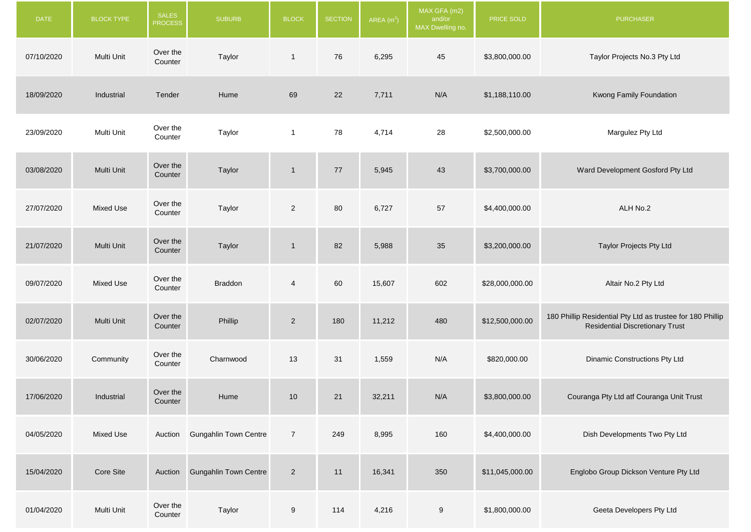| <b>DATE</b> | BLOCK TYPE | <b>SALES</b><br><b>PROCESS</b> | <b>SUBURB</b>                | <b>BLOCK</b>   | <b>SECTION</b> | AREA $(m2)$ | MAX GFA (m2)<br>and/or<br>MAX Dwelling no. | PRICE SOLD      | <b>PURCHASER</b>                                                                                     |
|-------------|------------|--------------------------------|------------------------------|----------------|----------------|-------------|--------------------------------------------|-----------------|------------------------------------------------------------------------------------------------------|
| 07/10/2020  | Multi Unit | Over the<br>Counter            | Taylor                       | $\mathbf{1}$   | 76             | 6,295       | 45                                         | \$3,800,000.00  | Taylor Projects No.3 Pty Ltd                                                                         |
| 18/09/2020  | Industrial | Tender                         | Hume                         | 69             | 22             | 7,711       | N/A                                        | \$1,188,110.00  | Kwong Family Foundation                                                                              |
| 23/09/2020  | Multi Unit | Over the<br>Counter            | Taylor                       | $\mathbf{1}$   | 78             | 4,714       | 28                                         | \$2,500,000.00  | Margulez Pty Ltd                                                                                     |
| 03/08/2020  | Multi Unit | Over the<br>Counter            | Taylor                       | $\mathbf{1}$   | $77$           | 5,945       | 43                                         | \$3,700,000.00  | Ward Development Gosford Pty Ltd                                                                     |
| 27/07/2020  | Mixed Use  | Over the<br>Counter            | Taylor                       | $\overline{2}$ | 80             | 6,727       | 57                                         | \$4,400,000.00  | ALH No.2                                                                                             |
| 21/07/2020  | Multi Unit | Over the<br>Counter            | Taylor                       | $\mathbf{1}$   | 82             | 5,988       | 35                                         | \$3,200,000.00  | Taylor Projects Pty Ltd                                                                              |
| 09/07/2020  | Mixed Use  | Over the<br>Counter            | <b>Braddon</b>               | 4              | 60             | 15,607      | 602                                        | \$28,000,000.00 | Altair No.2 Pty Ltd                                                                                  |
| 02/07/2020  | Multi Unit | Over the<br>Counter            | Phillip                      | $\overline{2}$ | 180            | 11,212      | 480                                        | \$12,500,000.00 | 180 Phillip Residential Pty Ltd as trustee for 180 Phillip<br><b>Residential Discretionary Trust</b> |
| 30/06/2020  | Community  | Over the<br>Counter            | Charnwood                    | 13             | 31             | 1,559       | N/A                                        | \$820,000.00    | Dinamic Constructions Pty Ltd                                                                        |
| 17/06/2020  | Industrial | Over the<br>Counter            | Hume                         | 10             | 21             | 32,211      | N/A                                        | \$3,800,000.00  | Couranga Pty Ltd atf Couranga Unit Trust                                                             |
| 04/05/2020  | Mixed Use  | Auction                        | <b>Gungahlin Town Centre</b> | $\overline{7}$ | 249            | 8,995       | 160                                        | \$4,400,000.00  | Dish Developments Two Pty Ltd                                                                        |
| 15/04/2020  | Core Site  | Auction                        | <b>Gungahlin Town Centre</b> | $\overline{2}$ | 11             | 16,341      | 350                                        | \$11,045,000.00 | Englobo Group Dickson Venture Pty Ltd                                                                |
| 01/04/2020  | Multi Unit | Over the<br>Counter            | Taylor                       | 9              | 114            | 4,216       | $9\,$                                      | \$1,800,000.00  | Geeta Developers Pty Ltd                                                                             |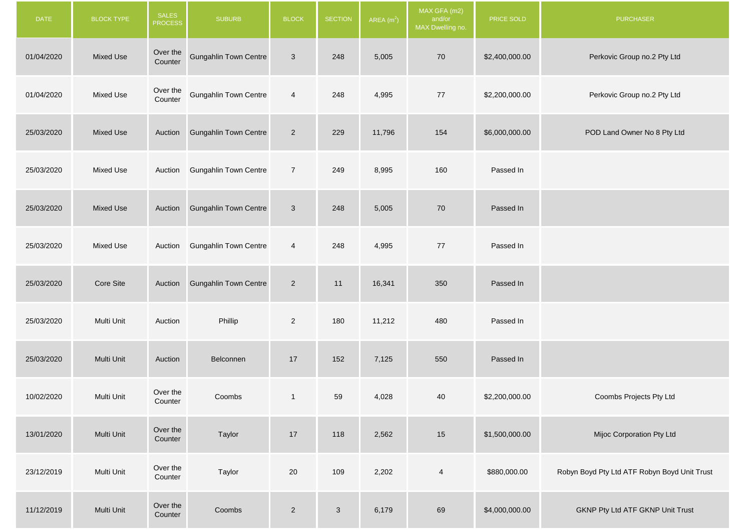| <b>DATE</b> | <b>BLOCK TYPE</b> | <b>SALES</b><br><b>PROCESS</b> | <b>SUBURB</b>                 | <b>BLOCK</b>   | <b>SECTION</b> | AREA $(m2)$ | MAX GFA (m2)<br>and/or<br>MAX Dwelling no. | PRICE SOLD     | <b>PURCHASER</b>                             |
|-------------|-------------------|--------------------------------|-------------------------------|----------------|----------------|-------------|--------------------------------------------|----------------|----------------------------------------------|
| 01/04/2020  | <b>Mixed Use</b>  | Over the<br>Counter            | <b>Gungahlin Town Centre</b>  | $\mathbf{3}$   | 248            | 5,005       | 70                                         | \$2,400,000.00 | Perkovic Group no.2 Pty Ltd                  |
| 01/04/2020  | Mixed Use         | Over the<br>Counter            | <b>Gungahlin Town Centre</b>  | $\overline{4}$ | 248            | 4,995       | 77                                         | \$2,200,000.00 | Perkovic Group no.2 Pty Ltd                  |
| 25/03/2020  | <b>Mixed Use</b>  |                                | Auction Gungahlin Town Centre | $\overline{2}$ | 229            | 11,796      | 154                                        | \$6,000,000.00 | POD Land Owner No 8 Pty Ltd                  |
| 25/03/2020  | Mixed Use         |                                | Auction Gungahlin Town Centre | $\overline{7}$ | 249            | 8,995       | 160                                        | Passed In      |                                              |
| 25/03/2020  | <b>Mixed Use</b>  |                                | Auction Gungahlin Town Centre | 3              | 248            | 5,005       | 70                                         | Passed In      |                                              |
| 25/03/2020  | <b>Mixed Use</b>  |                                | Auction Gungahlin Town Centre | 4              | 248            | 4,995       | 77                                         | Passed In      |                                              |
| 25/03/2020  | Core Site         | Auction                        | <b>Gungahlin Town Centre</b>  | $\overline{c}$ | 11             | 16,341      | 350                                        | Passed In      |                                              |
| 25/03/2020  | Multi Unit        | Auction                        | Phillip                       | $\overline{c}$ | 180            | 11,212      | 480                                        | Passed In      |                                              |
| 25/03/2020  | Multi Unit        | Auction                        | Belconnen                     | 17             | 152            | 7,125       | 550                                        | Passed In      |                                              |
| 10/02/2020  | Multi Unit        | Over the<br>Counter            | Coombs                        | $\mathbf{1}$   | 59             | 4,028       | 40                                         | \$2,200,000.00 | Coombs Projects Pty Ltd                      |
| 13/01/2020  | Multi Unit        | Over the<br>Counter            | Taylor                        | $17$           | 118            | 2,562       | 15                                         | \$1,500,000.00 | Mijoc Corporation Pty Ltd                    |
| 23/12/2019  | Multi Unit        | Over the<br>Counter            | Taylor                        | $20\,$         | 109            | 2,202       | $\overline{\mathbf{4}}$                    | \$880,000.00   | Robyn Boyd Pty Ltd ATF Robyn Boyd Unit Trust |
| 11/12/2019  | Multi Unit        | Over the<br>Counter            | Coombs                        | $\overline{2}$ | $\mathbf{3}$   | 6,179       | 69                                         | \$4,000,000.00 | GKNP Pty Ltd ATF GKNP Unit Trust             |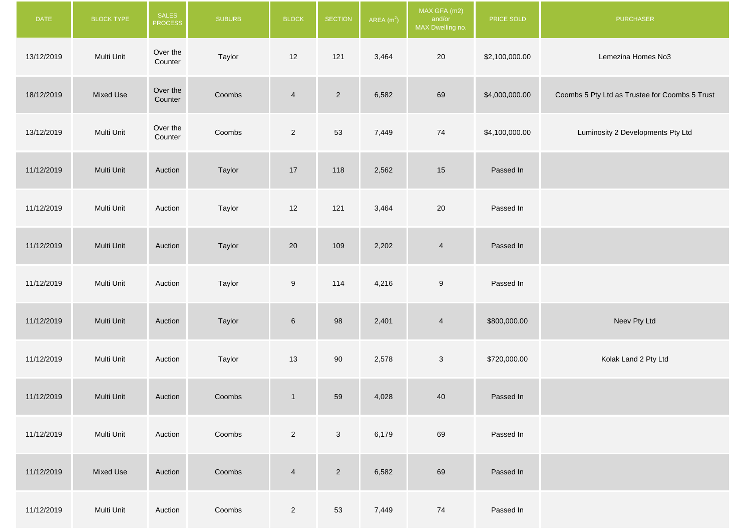| <b>DATE</b> | <b>BLOCK TYPE</b> | SALES<br><b>PROCESS</b> | <b>SUBURB</b> | <b>BLOCK</b>     | <b>SECTION</b> | AREA $(m2)$ | MAX GFA (m2)<br>and/or<br>MAX Dwelling no. | PRICE SOLD     | <b>PURCHASER</b>                               |
|-------------|-------------------|-------------------------|---------------|------------------|----------------|-------------|--------------------------------------------|----------------|------------------------------------------------|
| 13/12/2019  | Multi Unit        | Over the<br>Counter     | Taylor        | 12               | 121            | 3,464       | 20                                         | \$2,100,000.00 | Lemezina Homes No3                             |
| 18/12/2019  | Mixed Use         | Over the<br>Counter     | Coombs        | $\overline{4}$   | $\overline{2}$ | 6,582       | 69                                         | \$4,000,000.00 | Coombs 5 Pty Ltd as Trustee for Coombs 5 Trust |
| 13/12/2019  | Multi Unit        | Over the<br>Counter     | Coombs        | $\overline{2}$   | 53             | 7,449       | 74                                         | \$4,100,000.00 | Luminosity 2 Developments Pty Ltd              |
| 11/12/2019  | Multi Unit        | Auction                 | Taylor        | $17$             | 118            | 2,562       | 15                                         | Passed In      |                                                |
| 11/12/2019  | Multi Unit        | Auction                 | Taylor        | $12$             | 121            | 3,464       | $20\,$                                     | Passed In      |                                                |
| 11/12/2019  | Multi Unit        | Auction                 | Taylor        | 20               | 109            | 2,202       | $\overline{4}$                             | Passed In      |                                                |
| 11/12/2019  | Multi Unit        | Auction                 | Taylor        | $\boldsymbol{9}$ | 114            | 4,216       | $\boldsymbol{9}$                           | Passed In      |                                                |
| 11/12/2019  | Multi Unit        | Auction                 | Taylor        | $\,$ 6 $\,$      | 98             | 2,401       | $\overline{4}$                             | \$800,000.00   | Neev Pty Ltd                                   |
| 11/12/2019  | Multi Unit        | Auction                 | Taylor        | 13               | 90             | 2,578       | $\ensuremath{\mathsf{3}}$                  | \$720,000.00   | Kolak Land 2 Pty Ltd                           |
| 11/12/2019  | Multi Unit        | Auction                 | Coombs        | $\mathbf{1}$     | 59             | 4,028       | $40\,$                                     | Passed In      |                                                |
| 11/12/2019  | Multi Unit        | Auction                 | Coombs        | $\overline{2}$   | $\mathbf{3}$   | 6,179       | 69                                         | Passed In      |                                                |
| 11/12/2019  | <b>Mixed Use</b>  | Auction                 | Coombs        | $\overline{4}$   | $\overline{2}$ | 6,582       | 69                                         | Passed In      |                                                |
| 11/12/2019  | Multi Unit        | Auction                 | Coombs        | $\overline{2}$   | 53             | 7,449       | 74                                         | Passed In      |                                                |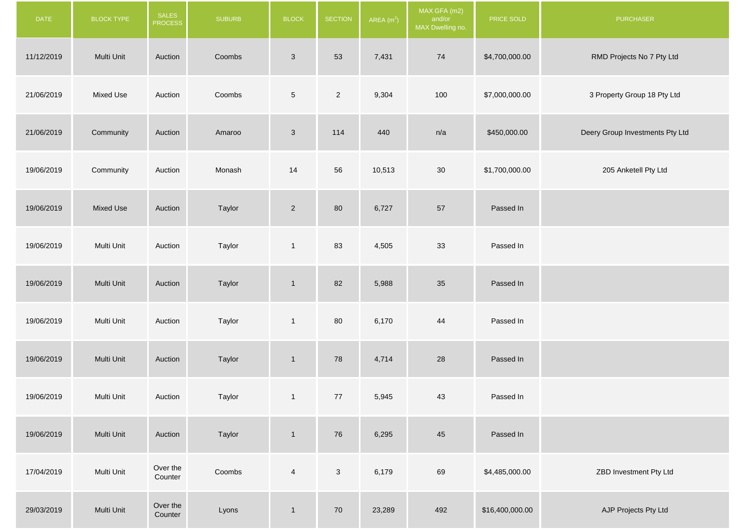| <b>DATE</b> | <b>BLOCK TYPE</b> | <b>SALES</b><br><b>PROCESS</b> | <b>SUBURB</b> | <b>BLOCK</b>   | <b>SECTION</b> | AREA(m <sup>2</sup> ) | MAX GFA (m2)<br>and/or<br>MAX Dwelling no. | PRICE SOLD      | <b>PURCHASER</b>                |
|-------------|-------------------|--------------------------------|---------------|----------------|----------------|-----------------------|--------------------------------------------|-----------------|---------------------------------|
| 11/12/2019  | Multi Unit        | Auction                        | Coombs        | $\mathbf{3}$   | 53             | 7,431                 | 74                                         | \$4,700,000.00  | RMD Projects No 7 Pty Ltd       |
| 21/06/2019  | <b>Mixed Use</b>  | Auction                        | Coombs        | $\,$ 5 $\,$    | $\overline{2}$ | 9,304                 | 100                                        | \$7,000,000.00  | 3 Property Group 18 Pty Ltd     |
| 21/06/2019  | Community         | Auction                        | Amaroo        | $\mathfrak{S}$ | 114            | 440                   | n/a                                        | \$450,000.00    | Deery Group Investments Pty Ltd |
| 19/06/2019  | Community         | Auction                        | Monash        | 14             | 56             | 10,513                | 30                                         | \$1,700,000.00  | 205 Anketell Pty Ltd            |
| 19/06/2019  | <b>Mixed Use</b>  | Auction                        | Taylor        | $\overline{c}$ | 80             | 6,727                 | $57\,$                                     | Passed In       |                                 |
| 19/06/2019  | Multi Unit        | Auction                        | Taylor        | $\mathbf{1}$   | 83             | 4,505                 | 33                                         | Passed In       |                                 |
| 19/06/2019  | Multi Unit        | Auction                        | Taylor        | $\mathbf{1}$   | 82             | 5,988                 | 35                                         | Passed In       |                                 |
| 19/06/2019  | Multi Unit        | Auction                        | Taylor        | $\mathbf{1}$   | 80             | 6,170                 | 44                                         | Passed In       |                                 |
| 19/06/2019  | Multi Unit        | Auction                        | Taylor        | $\mathbf{1}$   | 78             | 4,714                 | 28                                         | Passed In       |                                 |
| 19/06/2019  | Multi Unit        | Auction                        | Taylor        | $\mathbf{1}$   | 77             | 5,945                 | 43                                         | Passed In       |                                 |
| 19/06/2019  | Multi Unit        | Auction                        | Taylor        | $\mathbf{1}$   | 76             | 6,295                 | 45                                         | Passed In       |                                 |
| 17/04/2019  | Multi Unit        | Over the<br>Counter            | Coombs        | $\overline{4}$ | $\mathbf{3}$   | 6,179                 | 69                                         | \$4,485,000.00  | ZBD Investment Pty Ltd          |
| 29/03/2019  | Multi Unit        | Over the<br>Counter            | Lyons         | $\mathbf{1}$   | 70             | 23,289                | 492                                        | \$16,400,000.00 | AJP Projects Pty Ltd            |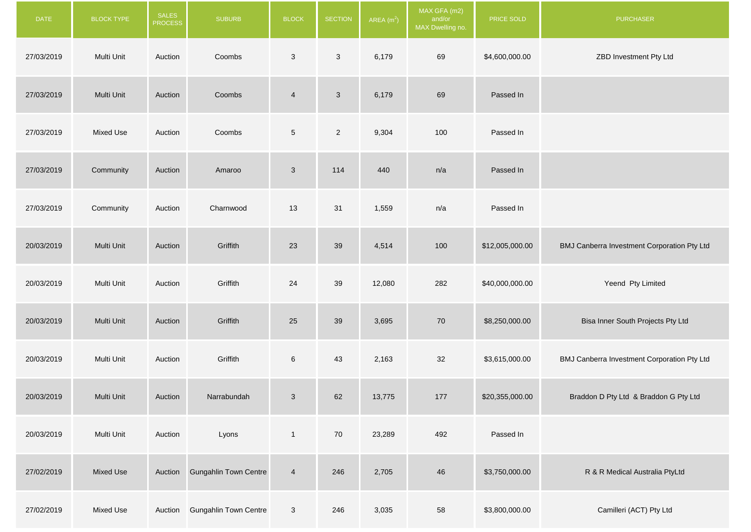| <b>DATE</b> | <b>BLOCK TYPE</b> | SALES<br><b>PROCESS</b> | <b>SUBURB</b>                 | <b>BLOCK</b>    | <b>SECTION</b> | AREA $(m2)$ | MAX GFA (m2)<br>and/or<br>MAX Dwelling no. | PRICE SOLD      | <b>PURCHASER</b>                            |
|-------------|-------------------|-------------------------|-------------------------------|-----------------|----------------|-------------|--------------------------------------------|-----------------|---------------------------------------------|
| 27/03/2019  | Multi Unit        | Auction                 | Coombs                        | $\mathbf{3}$    | $\mathbf{3}$   | 6,179       | 69                                         | \$4,600,000.00  | ZBD Investment Pty Ltd                      |
| 27/03/2019  | Multi Unit        | Auction                 | Coombs                        | $\overline{4}$  | $\mathbf{3}$   | 6,179       | 69                                         | Passed In       |                                             |
| 27/03/2019  | Mixed Use         | Auction                 | Coombs                        | $5\overline{)}$ | $\overline{2}$ | 9,304       | 100                                        | Passed In       |                                             |
| 27/03/2019  | Community         | Auction                 | Amaroo                        | $\mathbf{3}$    | 114            | 440         | n/a                                        | Passed In       |                                             |
| 27/03/2019  | Community         | Auction                 | Charnwood                     | 13              | 31             | 1,559       | n/a                                        | Passed In       |                                             |
| 20/03/2019  | Multi Unit        | Auction                 | Griffith                      | 23              | 39             | 4,514       | 100                                        | \$12,005,000.00 | BMJ Canberra Investment Corporation Pty Ltd |
| 20/03/2019  | Multi Unit        | Auction                 | Griffith                      | 24              | 39             | 12,080      | 282                                        | \$40,000,000.00 | Yeend Pty Limited                           |
| 20/03/2019  | Multi Unit        | Auction                 | Griffith                      | 25              | 39             | 3,695       | 70                                         | \$8,250,000.00  | Bisa Inner South Projects Pty Ltd           |
| 20/03/2019  | Multi Unit        | Auction                 | Griffith                      | $6\phantom{.}$  | 43             | 2,163       | 32                                         | \$3,615,000.00  | BMJ Canberra Investment Corporation Pty Ltd |
| 20/03/2019  | Multi Unit        | Auction                 | Narrabundah                   | $\mathbf{3}$    | 62             | 13,775      | 177                                        | \$20,355,000.00 | Braddon D Pty Ltd & Braddon G Pty Ltd       |
| 20/03/2019  | Multi Unit        | Auction                 | Lyons                         | $\mathbf{1}$    | 70             | 23,289      | 492                                        | Passed In       |                                             |
| 27/02/2019  | Mixed Use         | Auction                 | <b>Gungahlin Town Centre</b>  | $\overline{4}$  | 246            | 2,705       | 46                                         | \$3,750,000.00  | R & R Medical Australia PtyLtd              |
| 27/02/2019  | Mixed Use         |                         | Auction Gungahlin Town Centre | $\mathbf{3}$    | 246            | 3,035       | 58                                         | \$3,800,000.00  | Camilleri (ACT) Pty Ltd                     |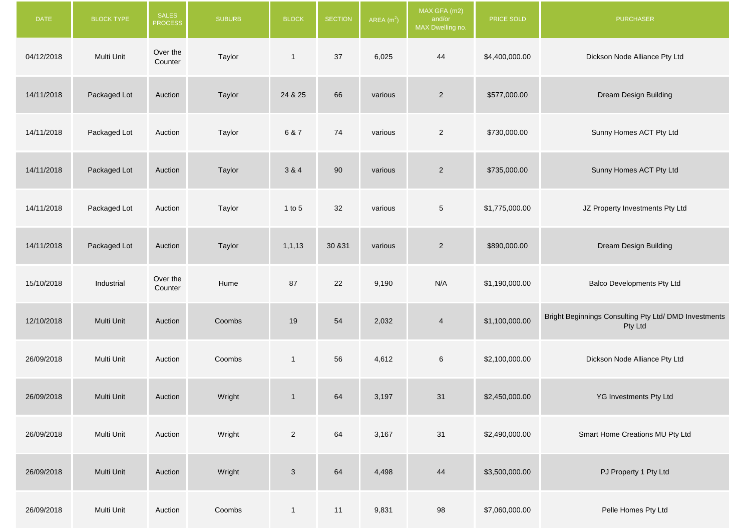| <b>DATE</b> | <b>BLOCK TYPE</b> | <b>SALES</b><br><b>PROCESS</b> | <b>SUBURB</b> | <b>BLOCK</b>   | <b>SECTION</b> | AREA $(m2)$ | MAX GFA (m2)<br>and/or<br>MAX Dwelling no. | PRICE SOLD     | <b>PURCHASER</b>                                                 |
|-------------|-------------------|--------------------------------|---------------|----------------|----------------|-------------|--------------------------------------------|----------------|------------------------------------------------------------------|
| 04/12/2018  | Multi Unit        | Over the<br>Counter            | Taylor        | $\mathbf{1}$   | 37             | 6,025       | 44                                         | \$4,400,000.00 | Dickson Node Alliance Pty Ltd                                    |
| 14/11/2018  | Packaged Lot      | Auction                        | Taylor        | 24 & 25        | 66             | various     | $\overline{2}$                             | \$577,000.00   | Dream Design Building                                            |
| 14/11/2018  | Packaged Lot      | Auction                        | Taylor        | 6 & 7          | 74             | various     | $\overline{2}$                             | \$730,000.00   | Sunny Homes ACT Pty Ltd                                          |
| 14/11/2018  | Packaged Lot      | Auction                        | Taylor        | 3 & 4          | 90             | various     | $\overline{2}$                             | \$735,000.00   | Sunny Homes ACT Pty Ltd                                          |
| 14/11/2018  | Packaged Lot      | Auction                        | Taylor        | $1$ to $5$     | 32             | various     | $\overline{5}$                             | \$1,775,000.00 | JZ Property Investments Pty Ltd                                  |
| 14/11/2018  | Packaged Lot      | Auction                        | Taylor        | 1, 1, 13       | 30 & 31        | various     | $\overline{2}$                             | \$890,000.00   | Dream Design Building                                            |
| 15/10/2018  | Industrial        | Over the<br>Counter            | Hume          | 87             | 22             | 9,190       | N/A                                        | \$1,190,000.00 | <b>Balco Developments Pty Ltd</b>                                |
| 12/10/2018  | Multi Unit        | Auction                        | Coombs        | 19             | 54             | 2,032       | $\overline{4}$                             | \$1,100,000.00 | Bright Beginnings Consulting Pty Ltd/ DMD Investments<br>Pty Ltd |
| 26/09/2018  | Multi Unit        | Auction                        | Coombs        | $\mathbf{1}$   | 56             | 4,612       | $\,6\,$                                    | \$2,100,000.00 | Dickson Node Alliance Pty Ltd                                    |
| 26/09/2018  | Multi Unit        | Auction                        | Wright        | $\mathbf{1}$   | 64             | 3,197       | 31                                         | \$2,450,000.00 | YG Investments Pty Ltd                                           |
| 26/09/2018  | Multi Unit        | Auction                        | Wright        | $\overline{2}$ | 64             | 3,167       | 31                                         | \$2,490,000.00 | Smart Home Creations MU Pty Ltd                                  |
| 26/09/2018  | Multi Unit        | Auction                        | Wright        | $\mathbf{3}$   | 64             | 4,498       | 44                                         | \$3,500,000.00 | PJ Property 1 Pty Ltd                                            |
| 26/09/2018  | Multi Unit        | Auction                        | Coombs        | $\mathbf{1}$   | 11             | 9,831       | 98                                         | \$7,060,000.00 | Pelle Homes Pty Ltd                                              |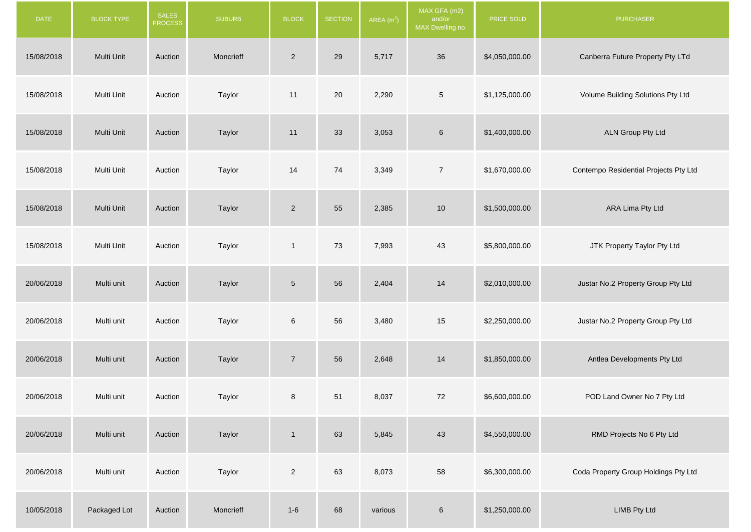| <b>DATE</b> | <b>BLOCK TYPE</b> | SALES<br><b>PROCESS</b> | <b>SUBURB</b> | <b>BLOCK</b>    | <b>SECTION</b> | AREA $(m2)$ | MAX GFA (m2)<br>and/or<br>MAX Dwelling no. | PRICE SOLD     | <b>PURCHASER</b>                      |
|-------------|-------------------|-------------------------|---------------|-----------------|----------------|-------------|--------------------------------------------|----------------|---------------------------------------|
| 15/08/2018  | Multi Unit        | Auction                 | Moncrieff     | $\overline{2}$  | 29             | 5,717       | $36\,$                                     | \$4,050,000.00 | Canberra Future Property Pty LTd      |
| 15/08/2018  | Multi Unit        | Auction                 | Taylor        | 11              | 20             | 2,290       | $\,$ 5 $\,$                                | \$1,125,000.00 | Volume Building Solutions Pty Ltd     |
| 15/08/2018  | Multi Unit        | Auction                 | Taylor        | 11              | 33             | 3,053       | $\,6$                                      | \$1,400,000.00 | ALN Group Pty Ltd                     |
| 15/08/2018  | Multi Unit        | Auction                 | Taylor        | 14              | 74             | 3,349       | $\overline{7}$                             | \$1,670,000.00 | Contempo Residential Projects Pty Ltd |
| 15/08/2018  | Multi Unit        | Auction                 | Taylor        | $\overline{2}$  | 55             | 2,385       | 10                                         | \$1,500,000.00 | ARA Lima Pty Ltd                      |
| 15/08/2018  | Multi Unit        | Auction                 | Taylor        | $\mathbf{1}$    | 73             | 7,993       | 43                                         | \$5,800,000.00 | JTK Property Taylor Pty Ltd           |
| 20/06/2018  | Multi unit        | Auction                 | Taylor        | $5\phantom{.0}$ | 56             | 2,404       | 14                                         | \$2,010,000.00 | Justar No.2 Property Group Pty Ltd    |
| 20/06/2018  | Multi unit        | Auction                 | Taylor        | $\,6\,$         | 56             | 3,480       | 15                                         | \$2,250,000.00 | Justar No.2 Property Group Pty Ltd    |
| 20/06/2018  | Multi unit        | Auction                 | Taylor        | $\overline{7}$  | 56             | 2,648       | 14                                         | \$1,850,000.00 | Antlea Developments Pty Ltd           |
| 20/06/2018  | Multi unit        | Auction                 | Taylor        | 8               | 51             | 8,037       | 72                                         | \$6,600,000.00 | POD Land Owner No 7 Pty Ltd           |
| 20/06/2018  | Multi unit        | Auction                 | Taylor        | $\overline{1}$  | 63             | 5,845       | 43                                         | \$4,550,000.00 | RMD Projects No 6 Pty Ltd             |
| 20/06/2018  | Multi unit        | Auction                 | Taylor        | $\overline{2}$  | 63             | 8,073       | 58                                         | \$6,300,000.00 | Coda Property Group Holdings Pty Ltd  |
| 10/05/2018  | Packaged Lot      | Auction                 | Moncrieff     | $1 - 6$         | 68             | various     | $\,6\,$                                    | \$1,250,000.00 | <b>LIMB Pty Ltd</b>                   |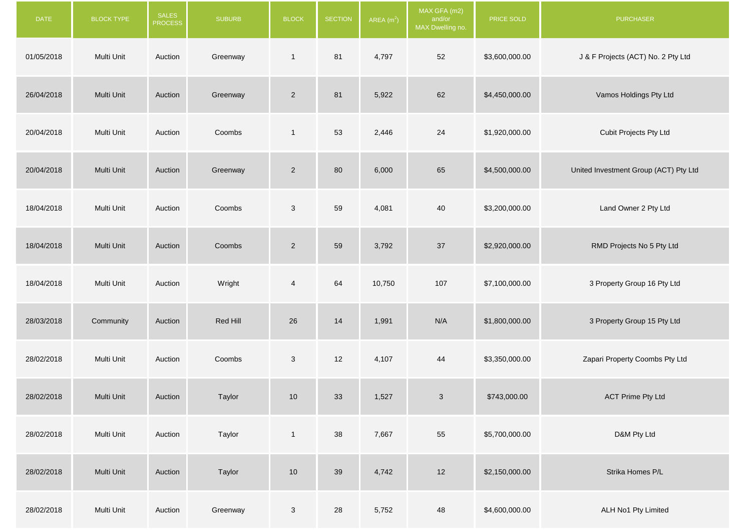| <b>DATE</b> | BLOCK TYPE | SALES<br><b>PROCESS</b> | <b>SUBURB</b> | <b>BLOCK</b>   | <b>SECTION</b> | AREA $(m2)$ | MAX GFA (m2)<br>and/or<br>MAX Dwelling no. | PRICE SOLD     | <b>PURCHASER</b>                      |
|-------------|------------|-------------------------|---------------|----------------|----------------|-------------|--------------------------------------------|----------------|---------------------------------------|
| 01/05/2018  | Multi Unit | Auction                 | Greenway      | $\mathbf{1}$   | 81             | 4,797       | 52                                         | \$3,600,000.00 | J & F Projects (ACT) No. 2 Pty Ltd    |
| 26/04/2018  | Multi Unit | Auction                 | Greenway      | $\overline{2}$ | 81             | 5,922       | 62                                         | \$4,450,000.00 | Vamos Holdings Pty Ltd                |
| 20/04/2018  | Multi Unit | Auction                 | Coombs        | $\mathbf{1}$   | 53             | 2,446       | 24                                         | \$1,920,000.00 | Cubit Projects Pty Ltd                |
| 20/04/2018  | Multi Unit | Auction                 | Greenway      | $\overline{2}$ | 80             | 6,000       | 65                                         | \$4,500,000.00 | United Investment Group (ACT) Pty Ltd |
| 18/04/2018  | Multi Unit | Auction                 | Coombs        | $\mathbf{3}$   | 59             | 4,081       | 40                                         | \$3,200,000.00 | Land Owner 2 Pty Ltd                  |
| 18/04/2018  | Multi Unit | Auction                 | Coombs        | $\overline{2}$ | 59             | 3,792       | 37                                         | \$2,920,000.00 | RMD Projects No 5 Pty Ltd             |
| 18/04/2018  | Multi Unit | Auction                 | Wright        | $\overline{4}$ | 64             | 10,750      | 107                                        | \$7,100,000.00 | 3 Property Group 16 Pty Ltd           |
| 28/03/2018  | Community  | Auction                 | Red Hill      | 26             | 14             | 1,991       | N/A                                        | \$1,800,000.00 | 3 Property Group 15 Pty Ltd           |
| 28/02/2018  | Multi Unit | Auction                 | Coombs        | $\mathbf{3}$   | $12$           | 4,107       | 44                                         | \$3,350,000.00 | Zapari Property Coombs Pty Ltd        |
| 28/02/2018  | Multi Unit | Auction                 | Taylor        | 10             | 33             | 1,527       | $\ensuremath{\mathsf{3}}$                  | \$743,000.00   | <b>ACT Prime Pty Ltd</b>              |
| 28/02/2018  | Multi Unit | Auction                 | Taylor        | $\mathbf{1}$   | 38             | 7,667       | 55                                         | \$5,700,000.00 | D&M Pty Ltd                           |
| 28/02/2018  | Multi Unit | Auction                 | Taylor        | 10             | 39             | 4,742       | $12$                                       | \$2,150,000.00 | Strika Homes P/L                      |
| 28/02/2018  | Multi Unit | Auction                 | Greenway      | $\mathbf{3}$   | 28             | 5,752       | 48                                         | \$4,600,000.00 | ALH No1 Pty Limited                   |